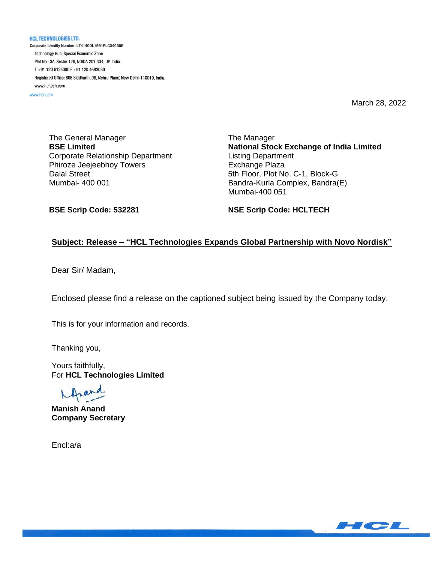**HCL TECHNOLOGIES LTD.** Corporate Identity Number: L74140DL1991PLC046369 Technology Hub, Special Economic Zone Plot No : 3A, Sector 126, NOIDA 201 304, UP, India. T+91 120 6125000 F+91 120 4683030 Registered Office: 806 Siddharth, 96, Nehru Place, New Delhi-110019, India. www.hcltech.com

www.hcl.com

March 28, 2022

The General Manager **BSE Limited** Corporate Relationship Department Phiroze Jeejeebhoy Towers Dalal Street Mumbai- 400 001

The Manager **National Stock Exchange of India Limited** Listing Department Exchange Plaza 5th Floor, Plot No. C-1, Block-G Bandra-Kurla Complex, Bandra(E) Mumbai-400 051

**BSE Scrip Code: 532281**

**NSE Scrip Code: HCLTECH**

### **Subject: Release – "HCL Technologies Expands Global Partnership with Novo Nordisk"**

Dear Sir/ Madam,

Enclosed please find a release on the captioned subject being issued by the Company today.

This is for your information and records.

Thanking you,

Yours faithfully, For **HCL Technologies Limited**

**Manish Anand Company Secretary**

Encl:a/a

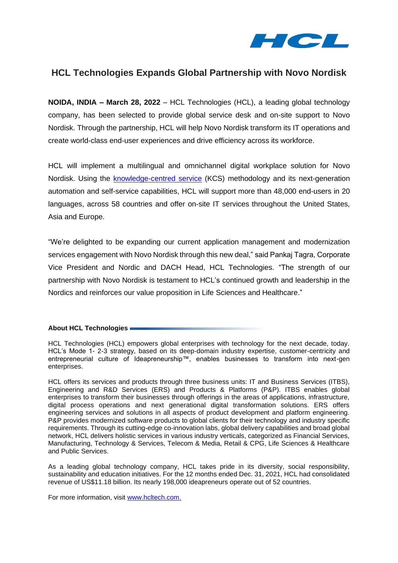

# **HCL Technologies Expands Global Partnership with Novo Nordisk**

**NOIDA, INDIA – March 28, 2022** – HCL Technologies (HCL), a leading global technology company, has been selected to provide global service desk and on-site support to Novo Nordisk. Through the partnership, HCL will help Novo Nordisk transform its IT operations and create world-class end-user experiences and drive efficiency across its workforce.

HCL will implement a multilingual and omnichannel digital workplace solution for Novo Nordisk. Using the [knowledge-centred](https://www.thekcsacademy.net/kcs/) service (KCS) methodology and its next-generation automation and self-service capabilities, HCL will support more than 48,000 end-users in 20 languages, across 58 countries and offer on-site IT services throughout the United States, Asia and Europe.

"We're delighted to be expanding our current application management and modernization services engagement with Novo Nordisk through this new deal," said Pankaj Tagra, Corporate Vice President and Nordic and DACH Head, HCL Technologies. "The strength of our partnership with Novo Nordisk is testament to HCL's continued growth and leadership in the Nordics and reinforces our value proposition in Life Sciences and Healthcare."

#### **About HCL Technologies**

HCL Technologies (HCL) empowers global enterprises with technology for the next decade, today. HCL's Mode 1- 2-3 strategy, based on its deep-domain industry expertise, customer-centricity and entrepreneurial culture of Ideapreneurship™, enables businesses to transform into next-gen enterprises.

HCL offers its services and products through three business units: IT and Business Services (ITBS), Engineering and R&D Services (ERS) and Products & Platforms (P&P). ITBS enables global enterprises to transform their businesses through offerings in the areas of applications, infrastructure, digital process operations and next generational digital transformation solutions. ERS offers engineering services and solutions in all aspects of product development and platform engineering. P&P provides modernized software products to global clients for their technology and industry specific requirements. Through its cutting-edge co-innovation labs, global delivery capabilities and broad global network, HCL delivers holistic services in various industry verticals, categorized as Financial Services, Manufacturing, Technology & Services, Telecom & Media, Retail & CPG, Life Sciences & Healthcare and Public Services.

As a leading global technology company, HCL takes pride in its diversity, social responsibility, sustainability and education initiatives. For the 12 months ended Dec. 31, 2021, HCL had consolidated revenue of US\$11.18 billion. Its nearly 198,000 ideapreneurs operate out of 52 countries.

For more information, visit [www.hcltech.com.](https://apc01.safelinks.protection.outlook.com/?url=http%3A%2F%2Fwww.hcltech.com%2F&data=04%7C01%7Ckanika.vats%40hcl.com%7Cbd35b8af89e341b9000408d9dc417d8c%7C189de737c93a4f5a8b686f4ca9941912%7C0%7C0%7C637782996102001688%7CUnknown%7CTWFpbGZsb3d8eyJWIjoiMC4wLjAwMDAiLCJQIjoiV2luMzIiLCJBTiI6Ik1haWwiLCJXVCI6Mn0%3D%7C3000&sdata=2Gz9BNrvkPlGWVrnZMdpVAtvkZXzEvXaLO4G8INGq18%3D&reserved=0)